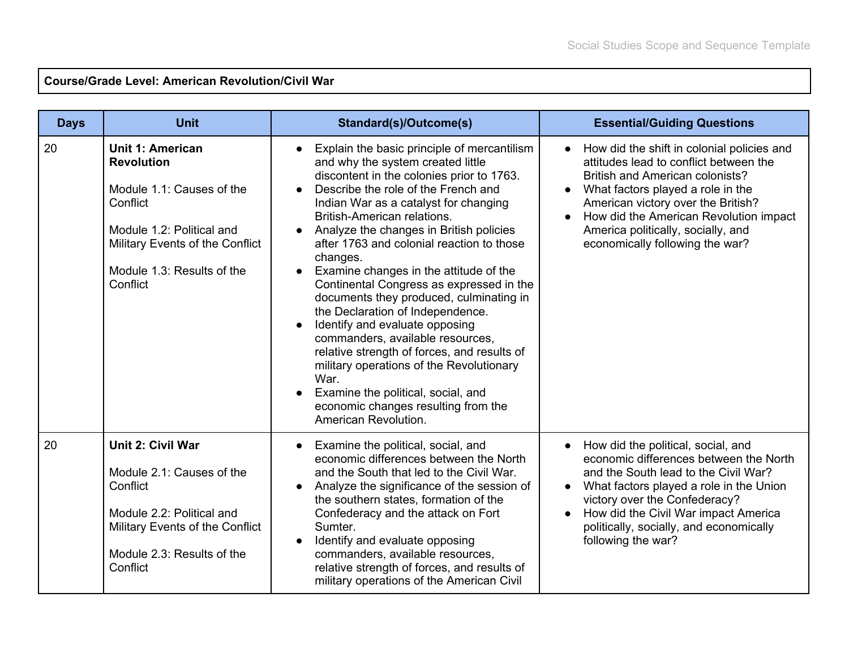## **Course/Grade Level: American Revolution/Civil War**

| <b>Days</b> | <b>Unit</b>                                                                                                                                                                                     | <b>Standard(s)/Outcome(s)</b>                                                                                                                                                                                                                                                                                                                                                                                                                                                                                                                                                                                                                                                                                                                                                                       | <b>Essential/Guiding Questions</b>                                                                                                                                                                                                                                                                                                        |
|-------------|-------------------------------------------------------------------------------------------------------------------------------------------------------------------------------------------------|-----------------------------------------------------------------------------------------------------------------------------------------------------------------------------------------------------------------------------------------------------------------------------------------------------------------------------------------------------------------------------------------------------------------------------------------------------------------------------------------------------------------------------------------------------------------------------------------------------------------------------------------------------------------------------------------------------------------------------------------------------------------------------------------------------|-------------------------------------------------------------------------------------------------------------------------------------------------------------------------------------------------------------------------------------------------------------------------------------------------------------------------------------------|
| 20          | <b>Unit 1: American</b><br><b>Revolution</b><br>Module 1.1: Causes of the<br>Conflict<br>Module 1.2: Political and<br>Military Events of the Conflict<br>Module 1.3: Results of the<br>Conflict | Explain the basic principle of mercantilism<br>and why the system created little<br>discontent in the colonies prior to 1763.<br>Describe the role of the French and<br>Indian War as a catalyst for changing<br>British-American relations.<br>Analyze the changes in British policies<br>after 1763 and colonial reaction to those<br>changes.<br>Examine changes in the attitude of the<br>Continental Congress as expressed in the<br>documents they produced, culminating in<br>the Declaration of Independence.<br>Identify and evaluate opposing<br>commanders, available resources,<br>relative strength of forces, and results of<br>military operations of the Revolutionary<br>War.<br>Examine the political, social, and<br>economic changes resulting from the<br>American Revolution. | How did the shift in colonial policies and<br>$\bullet$<br>attitudes lead to conflict between the<br><b>British and American colonists?</b><br>What factors played a role in the<br>American victory over the British?<br>How did the American Revolution impact<br>America politically, socially, and<br>economically following the war? |
| 20          | <b>Unit 2: Civil War</b><br>Module 2.1: Causes of the<br>Conflict<br>Module 2.2: Political and<br>Military Events of the Conflict<br>Module 2.3: Results of the<br>Conflict                     | Examine the political, social, and<br>economic differences between the North<br>and the South that led to the Civil War.<br>Analyze the significance of the session of<br>the southern states, formation of the<br>Confederacy and the attack on Fort<br>Sumter.<br>Identify and evaluate opposing<br>commanders, available resources,<br>relative strength of forces, and results of<br>military operations of the American Civil                                                                                                                                                                                                                                                                                                                                                                  | How did the political, social, and<br>$\bullet$<br>economic differences between the North<br>and the South lead to the Civil War?<br>What factors played a role in the Union<br>victory over the Confederacy?<br>How did the Civil War impact America<br>politically, socially, and economically<br>following the war?                    |